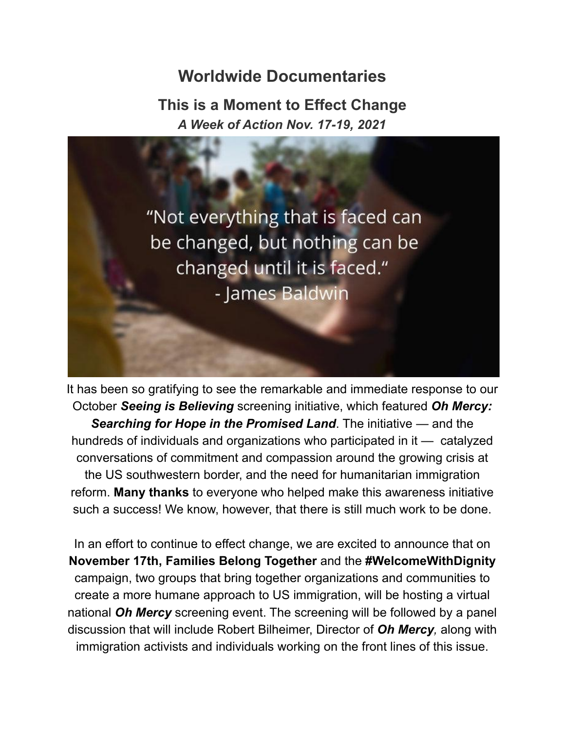# **Worldwide Documentaries**

**This is a Moment to Effect Change** *A Week of Action Nov. 17-19, 2021*



It has been so gratifying to see the remarkable and immediate response to our October *Seeing is Believing* screening initiative, which featured *Oh Mercy: Searching for Hope in the Promised Land*. The initiative — and the hundreds of individuals and organizations who participated in it — catalyzed conversations of commitment and compassion around the growing crisis at the US southwestern border, and the need for humanitarian immigration reform. **Many thanks** to everyone who helped make this awareness initiative such a success! We know, however, that there is still much work to be done.

In an effort to continue to effect change, we are excited to announce that on **November 17th, Families Belong Together** and the **#WelcomeWithDignity** campaign, two groups that bring together organizations and communities to create a more humane approach to US immigration, will be hosting a virtual national *Oh Mercy* screening event. The screening will be followed by a panel discussion that will include Robert Bilheimer, Director of *Oh Mercy,* along with immigration activists and individuals working on the front lines of this issue.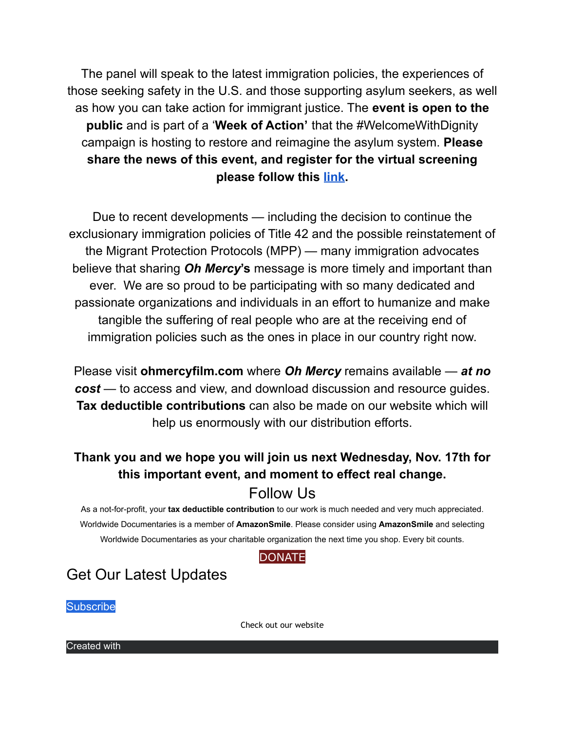The panel will speak to the latest immigration policies, the experiences of those seeking safety in the U.S. and those supporting asylum seekers, as well as how you can take action for immigrant justice. The **event is open to the public** and is part of a '**Week of Action'** that the #WelcomeWithDignity campaign is hosting to restore and reimagine the asylum system. **Please share the news of this event, and register for the virtual screening please follow this [link.](https://shoutout.wix.com/so/49NpC-c_6/c?w=RmDZpcruwe8spC92En3DAXzKnxGdTpa8zjsfCmQY1j0.eyJ1IjoiaHR0cHM6Ly9kb21lc3RpY3dvcmtlcnMuem9vbS51cy93ZWJpbmFyL3JlZ2lzdGVyL1dOX0cxSkhsTEh2UnNTTWZJQ0RLNWVXRHciLCJyIjoiYTVlMGYxZGUtZmYxNy00ZjNhLTM2MDAtZjQwYjY5NDY2ZWQ3IiwibSI6ImxwIn0)**

Due to recent developments — including the decision to continue the exclusionary immigration policies of Title 42 and the possible reinstatement of the Migrant Protection Protocols (MPP) — many immigration advocates believe that sharing *Oh Mercy***'s** message is more timely and important than ever. We are so proud to be participating with so many dedicated and passionate organizations and individuals in an effort to humanize and make tangible the suffering of real people who are at the receiving end of immigration policies such as the ones in place in our country right now.

Please visit **ohmercyfilm.com** where *Oh Mercy* remains available — *at no cost* — to access and view, and download discussion and resource guides. **Tax deductible contributions** can also be made on our website which will help us enormously with our distribution efforts.

## **Thank you and we hope you will join us next Wednesday, Nov. 17th for this important event, and moment to effect real change.**

### Follow Us

As a not-for-profit, your **tax deductible contribution** to our work is much needed and very much appreciated. Worldwide Documentaries is a member of **AmazonSmile**. Please consider using **AmazonSmile** and selecting Worldwide Documentaries as your charitable organization the next time you shop. Every bit counts.

#### **[DONATE](https://shoutout.wix.com/so/49NpC-c_6/c?w=tBMkWzlQh56YLs-QdUe-HThtUwvqqlwTRcY3dpUMIWo.eyJ1IjoiaHR0cDovL2JpdC5seS93b3JsZHdpZGVkb2N1bWVudGFyaWVzIiwiciI6IjFkYTIyNTFlLTYzZDgtNDEzNC0wNzdhLWNmYzFjOTMyOWRiNCIsIm0iOiJscCJ9)**

# Get Our Latest Updates

**Subscribe** 

[Check out our website](https://shoutout.wix.com/so/49NpC-c_6/c?w=a-KmxUr-Lz88DcuL8QJFPOpIv5gesy7rjiscm_X3QHY.eyJ1IjoiaHR0cHM6Ly93d3cud29ybGR3aWRlZG9jdW1lbnRhcmllcy5jb20vIiwiciI6IjFmNjk1MmQwLWJlNDEtNGJjYS1kY2FkLTFmNDAyZmE2NGM5ZiIsIm0iOiJscCJ9)

Created with